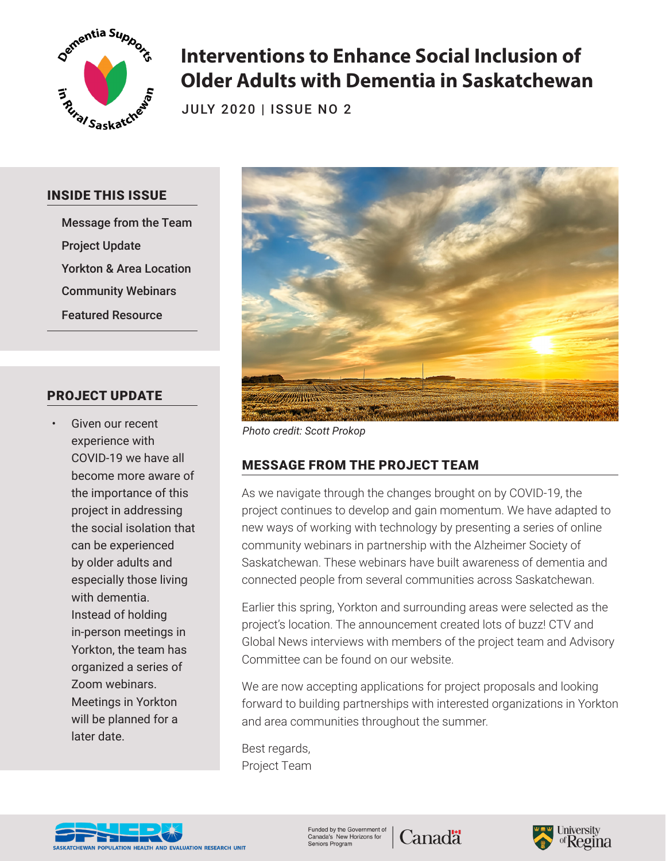

# **Interventions to Enhance Social Inclusion of Older Adults with Dementia in Saskatchewan**

JULY 2020 | ISSUE NO 2

#### INSIDE THIS ISSUE

Message from the Team Project Update Yorkton & Area Location Community Webinars Featured Resource

### PROJECT UPDATE

Given our recent experience with COVID-19 we have all become more aware of the importance of this project in addressing the social isolation that can be experienced by older adults and especially those living with dementia. Instead of holding in-person meetings in Yorkton, the team has organized a series of Zoom webinars. Meetings in Yorkton will be planned for a later date.



*Photo credit: Scott Prokop*

## MESSAGE FROM THE PROJECT TEAM

As we navigate through the changes brought on by COVID-19, the project continues to develop and gain momentum. We have adapted to new ways of working with technology by presenting a series of online community webinars in partnership with the Alzheimer Society of Saskatchewan. These webinars have built awareness of dementia and connected people from several communities across Saskatchewan.

Earlier this spring, Yorkton and surrounding areas were selected as the project's location. The announcement created lots of buzz! CTV and Global News interviews with members of the project team and Advisory Committee can be found on our website.

We are now accepting applications for project proposals and looking forward to building partnerships with interested organizations in Yorkton and area communities throughout the summer.

Best regards, Project Team



Funded by the Government of<br>Canada's New Horizons for **Canadä** Seniors Program